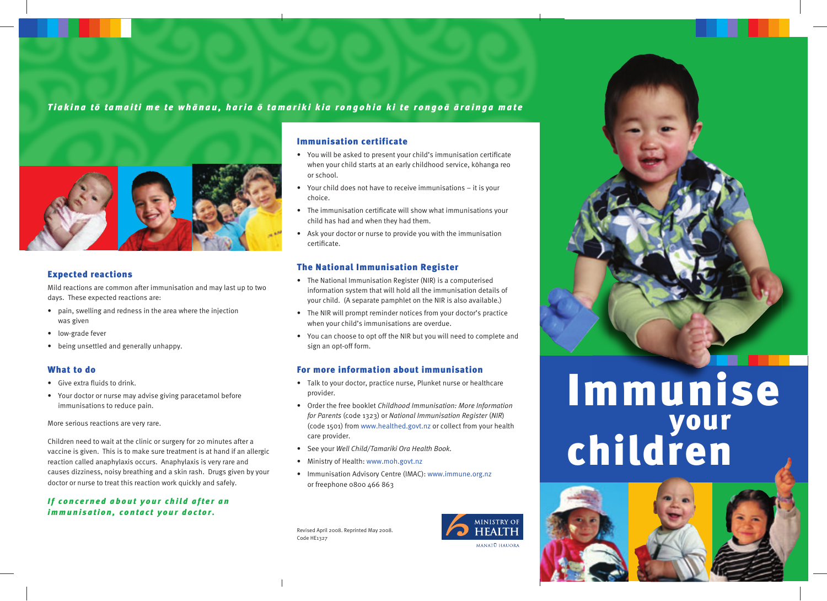# *Tiakina tò tamaiti me te whànau, haria ò tamariki kia rongohia ki te rongoà àrainga mate*



## Expected reactions

Mild reactions are common after immunisation and may last up to two days. These expected reactions are:

- pain, swelling and redness in the area where the injection was given
- low-grade fever
- being unsettled and generally unhappy.

## What to do

- Give extra fluids to drink.
- Your doctor or nurse may advise giving paracetamol before immunisations to reduce pain.

More serious reactions are very rare.

Children need to wait at the clinic or surgery for 20 minutes after a vaccine is given. This is to make sure treatment is at hand if an allergic reaction called anaphylaxis occurs. Anaphylaxis is very rare and causes dizziness, noisy breathing and a skin rash. Drugs given by your doctor or nurse to treat this reaction work quickly and safely.

## *If concerned about your child after an immunisation, contact your doctor.*

## Immunisation certificate

- You will be asked to present your child's immunisation certificate when your child starts at an early childhood service, kòhanga reo or school.
- Your child does not have to receive immunisations it is your choice.
- The immunisation certificate will show what immunisations your child has had and when they had them.
- Ask your doctor or nurse to provide you with the immunisation certificate.

## The National Immunisation Register

- The National Immunisation Register (NIR) is a computerised information system that will hold all the immunisation details of your child. (A separate pamphlet on the NIR is also available.)
- The NIR will prompt reminder notices from your doctor's practice when your child's immunisations are overdue.
- You can choose to opt off the NIR but you will need to complete and sign an opt-off form.

## For more information about immunisation

- Talk to your doctor, practice nurse, Plunket nurse or healthcare provider.
- Order the free booklet *Childhood Immunisation: More Information for Parents* (code 1323) or *National Immunisation Register* (*NIR*) (code 1501) from www.healthed.govt.nz or collect from your health care provider.
- See your *Well Child/Tamariki Ora Health Book*.
- Ministry of Health: www.moh.govt.nz
- Immunisation Advisory Centre (IMAC): www.immune.org.nz or freephone 0800 466 863

Revised April 2008. Reprinted May 2008. Code HE1327